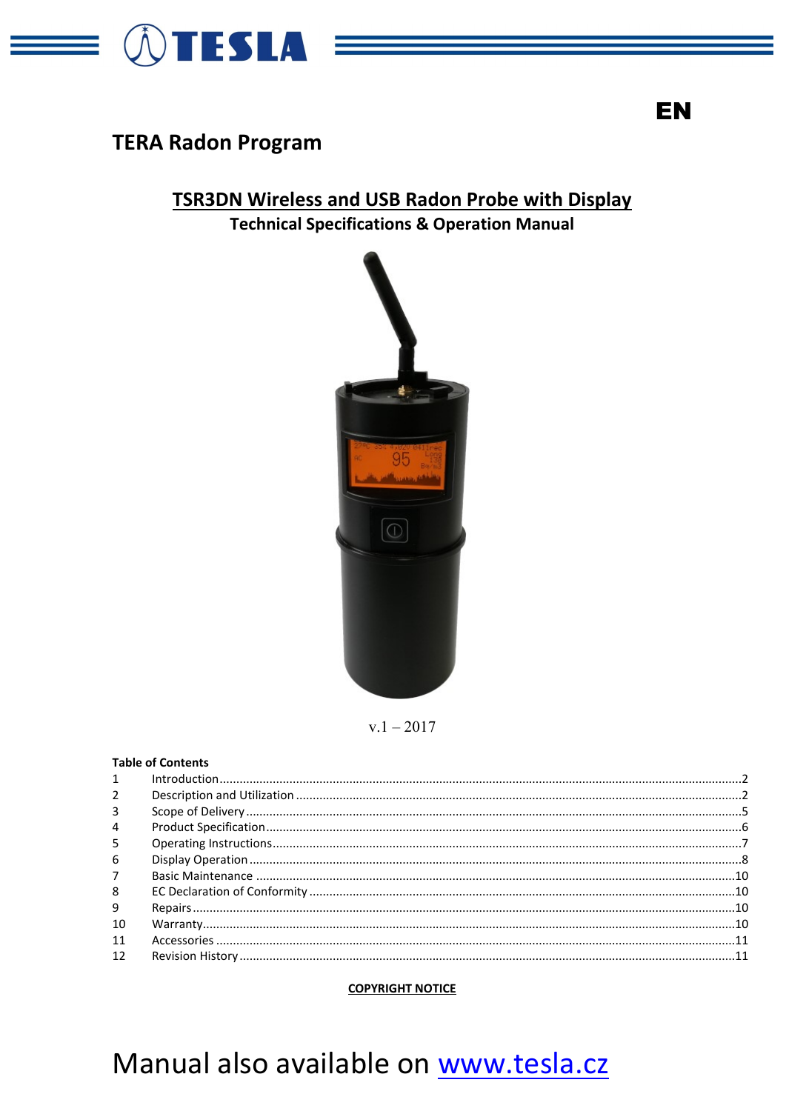

# **TERA Radon Program**

# **TSR3DN Wireless and USB Radon Probe with Display Technical Specifications & Operation Manual**



 $v.1 - 2017$ 

## **Table of Contents**

#### **COPYRIGHT NOTICE**

# Manual also available on www.tesla.cz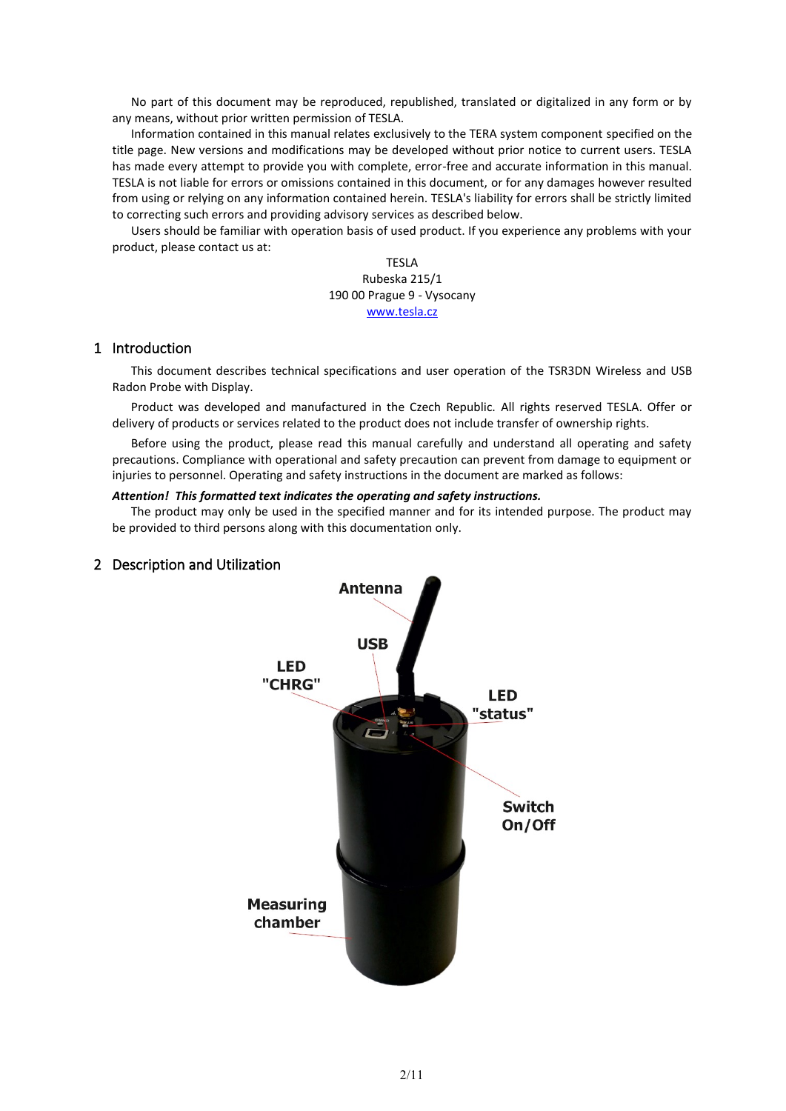No part of this document may be reproduced, republished, translated or digitalized in any form or by any means, without prior written permission of TESLA.

Information contained in this manual relates exclusively to the TERA system component specified on the title page. New versions and modifications may be developed without prior notice to current users. TESLA has made every attempt to provide you with complete, error-free and accurate information in this manual. TESLA is not liable for errors or omissions contained in this document, or for any damages however resulted from using or relying on any information contained herein. TESLA's liability for errors shall be strictly limited to correcting such errors and providing advisory services as described below.

Users should be familiar with operation basis of used product. If you experience any problems with your product, please contact us at:

> TESLA Rubeska 215/1 190 00 Prague 9 - Vysocany [www.tesla.cz](http://www.tesla.cz/)

#### <span id="page-1-0"></span>1 Introduction

This document describes technical specifications and user operation of the TSR3DN Wireless and USB Radon Probe with Display.

Product was developed and manufactured in the Czech Republic. All rights reserved TESLA. Offer or delivery of products or services related to the product does not include transfer of ownership rights.

Before using the product, please read this manual carefully and understand all operating and safety precautions. Compliance with operational and safety precaution can prevent from damage to equipment or injuries to personnel. Operating and safety instructions in the document are marked as follows:

#### *Attention! This formatted text indicates the operating and safety instructions.*

The product may only be used in the specified manner and for its intended purpose. The product may be provided to third persons along with this documentation only.



#### <span id="page-1-1"></span>2 Description and Utilization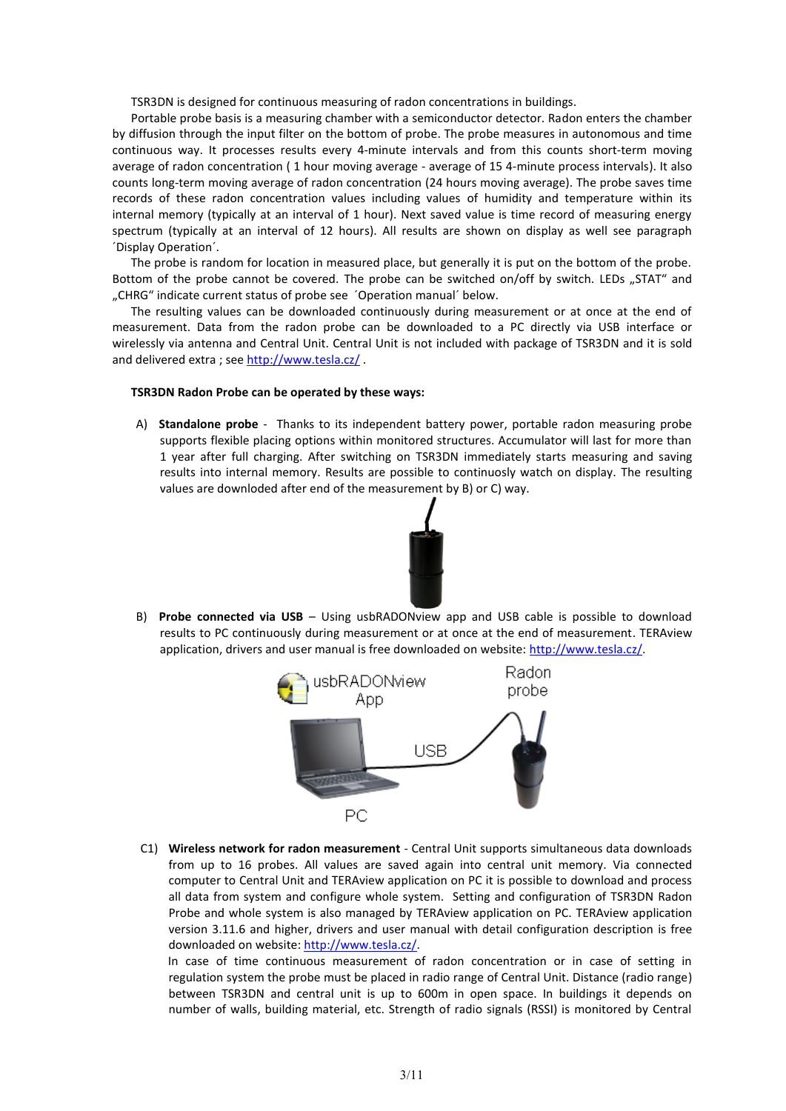TSR3DN is designed for continuous measuring of radon concentrations in buildings.

Portable probe basis is a measuring chamber with a semiconductor detector. Radon enters the chamber by diffusion through the input filter on the bottom of probe. The probe measures in autonomous and time continuous way. It processes results every 4-minute intervals and from this counts short-term moving average of radon concentration ( 1 hour moving average - average of 15 4-minute process intervals). It also counts long-term moving average of radon concentration (24 hours moving average). The probe saves time records of these radon concentration values including values of humidity and temperature within its internal memory (typically at an interval of 1 hour). Next saved value is time record of measuring energy spectrum (typically at an interval of 12 hours). All results are shown on display as well see paragraph ´Display Operation´.

The probe is random for location in measured place, but generally it is put on the bottom of the probe. Bottom of the probe cannot be covered. The probe can be switched on/off by switch. LEDs "STAT" and "CHRG" indicate current status of probe see 'Operation manual' below.

The resulting values can be downloaded continuously during measurement or at once at the end of measurement. Data from the radon probe can be downloaded to a PC directly via USB interface or wirelessly via antenna and Central Unit. Central Unit is not included with package of TSR3DN and it is sold and delivered extra ; see <http://www.tesla.cz/>.

#### **TSR3DN Radon Probe can be operated by these ways:**

A) **Standalone probe** - Thanks to its independent battery power, portable radon measuring probe supports flexible placing options within monitored structures. Accumulator will last for more than 1 year after full charging. After switching on TSR3DN immediately starts measuring and saving results into internal memory. Results are possible to continuosly watch on display. The resulting values are downloded after end of the measurement by B) or C) way.



B) **Probe connected via USB** – Using usbRADONview app and USB cable is possible to download results to PC continuously during measurement or at once at the end of measurement. TERAview application, drivers and user manual is free downloaded on website: [http://www.tesla.cz/.](http://www.tesla.cz/)



C1) **Wireless network for radon measurement** - Central Unit supports simultaneous data downloads from up to 16 probes. All values are saved again into central unit memory. Via connected computer to Central Unit and TERAview application on PC it is possible to download and process all data from system and configure whole system. Setting and configuration of TSR3DN Radon Probe and whole system is also managed by TERAview application on PC. TERAview application version 3.11.6 and higher, drivers and user manual with detail configuration description is free downloaded on website[: http://www.tesla.cz/.](http://www.tesla.cz/)

 In case of time continuous measurement of radon concentration or in case of setting in regulation system the probe must be placed in radio range of Central Unit. Distance (radio range) between TSR3DN and central unit is up to 600m in open space. In buildings it depends on number of walls, building material, etc. Strength of radio signals (RSSI) is monitored by Central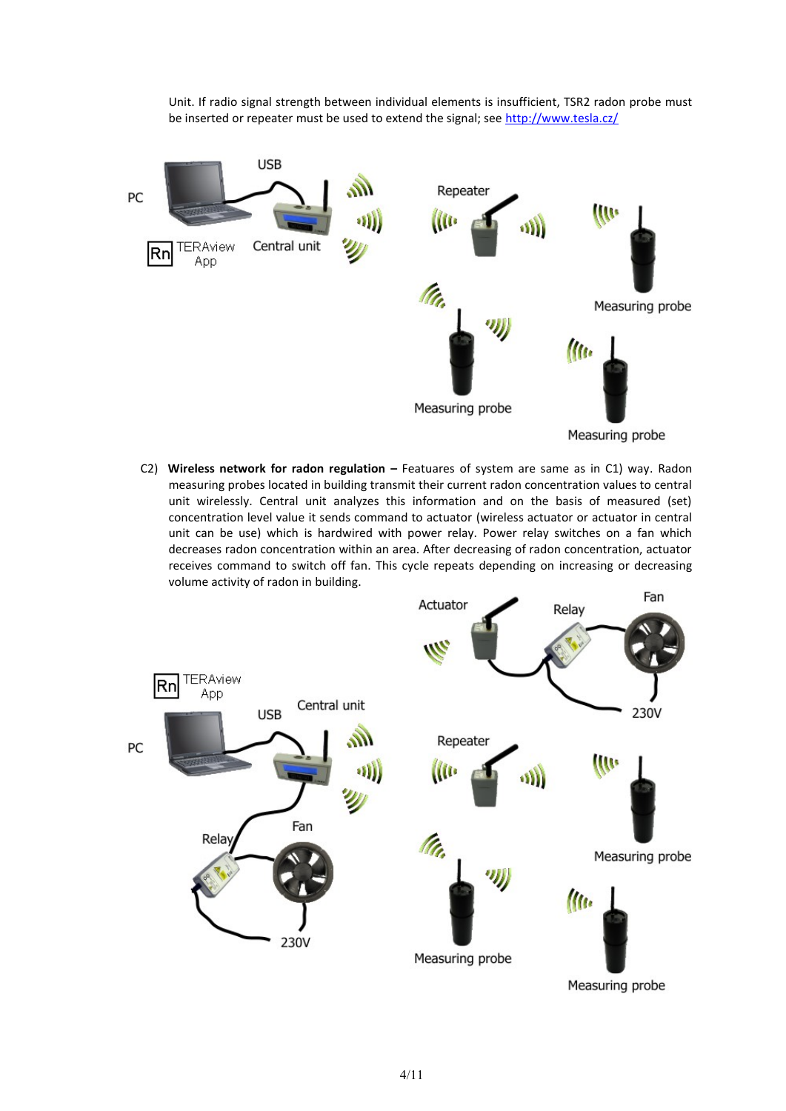Unit. If radio signal strength between individual elements is insufficient, TSR2 radon probe must be inserted or repeater must be used to extend the signal; see <http://www.tesla.cz/>



C2) **Wireless network for radon regulation –** Featuares of system are same as in C1) way. Radon measuring probes located in building transmit their current radon concentration values to central unit wirelessly. Central unit analyzes this information and on the basis of measured (set) concentration level value it sends command to actuator (wireless actuator or actuator in central unit can be use) which is hardwired with power relay. Power relay switches on a fan which decreases radon concentration within an area. After decreasing of radon concentration, actuator receives command to switch off fan. This cycle repeats depending on increasing or decreasing volume activity of radon in building.

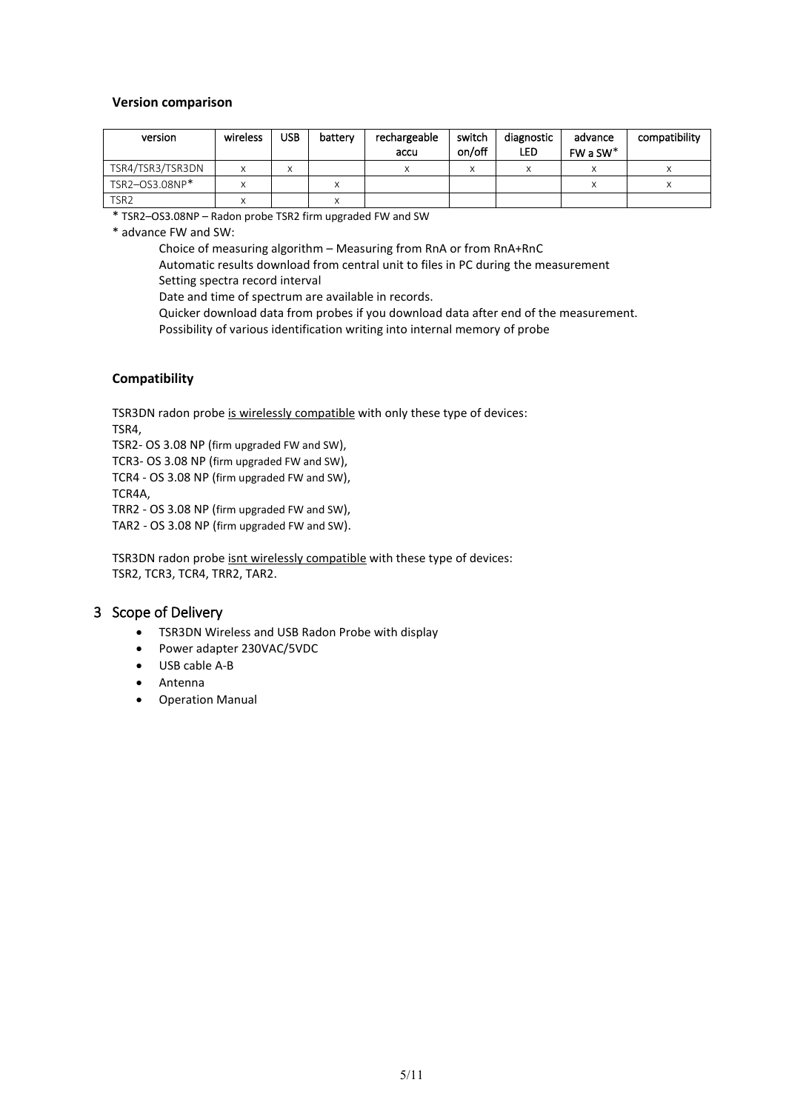#### **Version comparison**

| version          | wireless | <b>USB</b> | battery | rechargeable | switch | diagnostic | advance  | compatibility |
|------------------|----------|------------|---------|--------------|--------|------------|----------|---------------|
|                  |          |            |         | accu         | on/off | <b>LED</b> | $FWaSW*$ |               |
| TSR4/TSR3/TSR3DN |          | ́          |         |              |        |            |          |               |
| TSR2-OS3.08NP*   |          |            |         |              |        |            |          |               |
| TSR <sub>2</sub> |          |            |         |              |        |            |          |               |

\* TSR2–OS3.08NP – Radon probe TSR2 firm upgraded FW and SW

\* advance FW and SW:

Choice of measuring algorithm – Measuring from RnA or from RnA+RnC

Automatic results download from central unit to files in PC during the measurement Setting spectra record interval

Date and time of spectrum are available in records.

Quicker download data from probes if you download data after end of the measurement.

Possibility of various identification writing into internal memory of probe

## **Compatibility**

TSR3DN radon probe is wirelessly compatible with only these type of devices:

TSR4,

TSR2- OS 3.08 NP (firm upgraded FW and SW),

TCR3- OS 3.08 NP (firm upgraded FW and SW),

TCR4 - OS 3.08 NP (firm upgraded FW and SW),

TCR4A,

TRR2 - OS 3.08 NP (firm upgraded FW and SW),

TAR2 - OS 3.08 NP (firm upgraded FW and SW).

TSR3DN radon probe isnt wirelessly compatible with these type of devices: TSR2, TCR3, TCR4, TRR2, TAR2.

## <span id="page-4-0"></span>3 Scope of Delivery

- TSR3DN Wireless and USB Radon Probe with display
- Power adapter 230VAC/5VDC
- USB cable A-B
- Antenna
- <span id="page-4-1"></span>• Operation Manual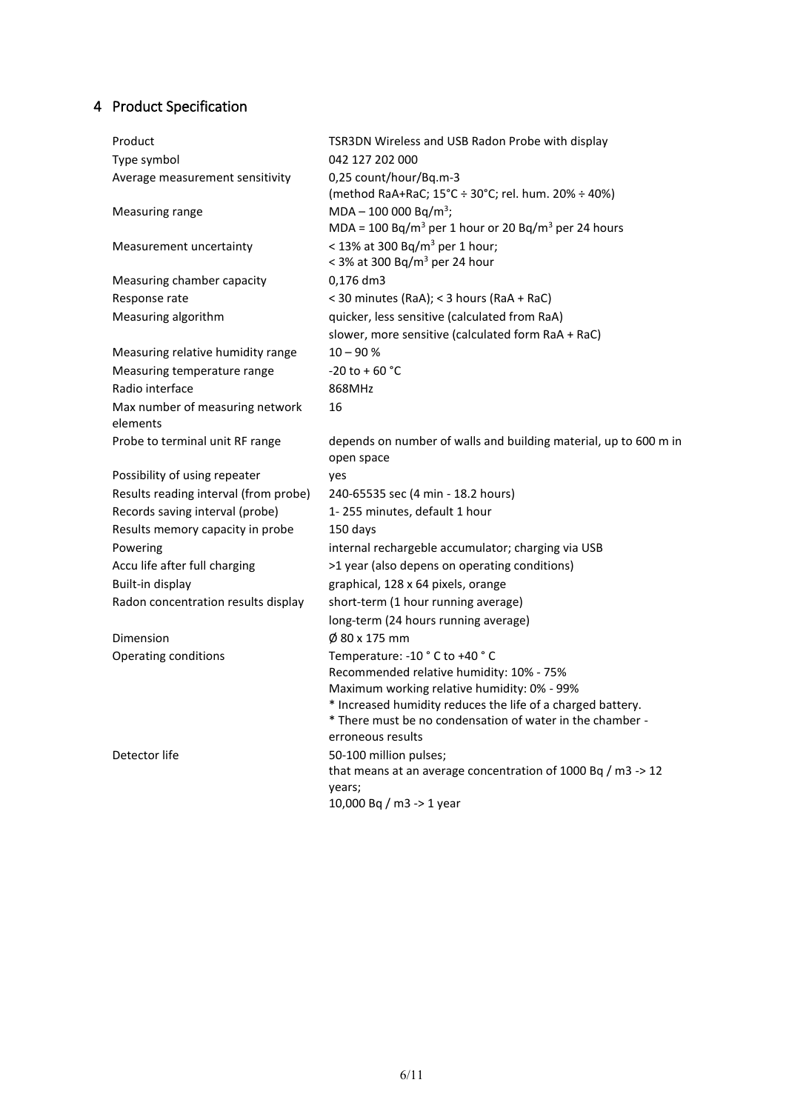# 4 Product Specification

| Product                               | TSR3DN Wireless and USB Radon Probe with display                            |
|---------------------------------------|-----------------------------------------------------------------------------|
| Type symbol                           | 042 127 202 000                                                             |
| Average measurement sensitivity       | 0,25 count/hour/Bq.m-3                                                      |
|                                       | (method RaA+RaC; 15°C ÷ 30°C; rel. hum. 20% ÷ 40%)                          |
| Measuring range                       | $MDA - 100 000 Bq/m^3$ ;                                                    |
|                                       | MDA = 100 Bq/m <sup>3</sup> per 1 hour or 20 Bq/m <sup>3</sup> per 24 hours |
| Measurement uncertainty               | < 13% at 300 Bq/m <sup>3</sup> per 1 hour;                                  |
|                                       | < 3% at 300 Bq/m <sup>3</sup> per 24 hour                                   |
| Measuring chamber capacity            | 0,176 dm3                                                                   |
| Response rate                         | < 30 minutes (RaA); < 3 hours (RaA + RaC)                                   |
| Measuring algorithm                   | quicker, less sensitive (calculated from RaA)                               |
|                                       | slower, more sensitive (calculated form RaA + RaC)                          |
| Measuring relative humidity range     | $10 - 90 %$                                                                 |
| Measuring temperature range           | $-20$ to + 60 °C                                                            |
| Radio interface                       | 868MHz                                                                      |
| Max number of measuring network       | 16                                                                          |
| elements                              |                                                                             |
| Probe to terminal unit RF range       | depends on number of walls and building material, up to 600 m in            |
|                                       | open space                                                                  |
| Possibility of using repeater         | yes                                                                         |
| Results reading interval (from probe) | 240-65535 sec (4 min - 18.2 hours)                                          |
| Records saving interval (probe)       | 1-255 minutes, default 1 hour                                               |
| Results memory capacity in probe      | 150 days                                                                    |
| Powering                              | internal rechargeble accumulator; charging via USB                          |
| Accu life after full charging         | >1 year (also depens on operating conditions)                               |
| Built-in display                      | graphical, 128 x 64 pixels, orange                                          |
| Radon concentration results display   | short-term (1 hour running average)                                         |
|                                       | long-term (24 hours running average)                                        |
| Dimension                             | Ø 80 x 175 mm                                                               |
| Operating conditions                  | Temperature: -10 °C to +40 °C                                               |
|                                       | Recommended relative humidity: 10% - 75%                                    |
|                                       | Maximum working relative humidity: 0% - 99%                                 |
|                                       | * Increased humidity reduces the life of a charged battery.                 |
|                                       | * There must be no condensation of water in the chamber -                   |
|                                       | erroneous results                                                           |
| Detector life                         | 50-100 million pulses;                                                      |
|                                       | that means at an average concentration of 1000 Bq / m3 -> 12<br>years;      |
|                                       | 10,000 Bq / m3 -> 1 year                                                    |
|                                       |                                                                             |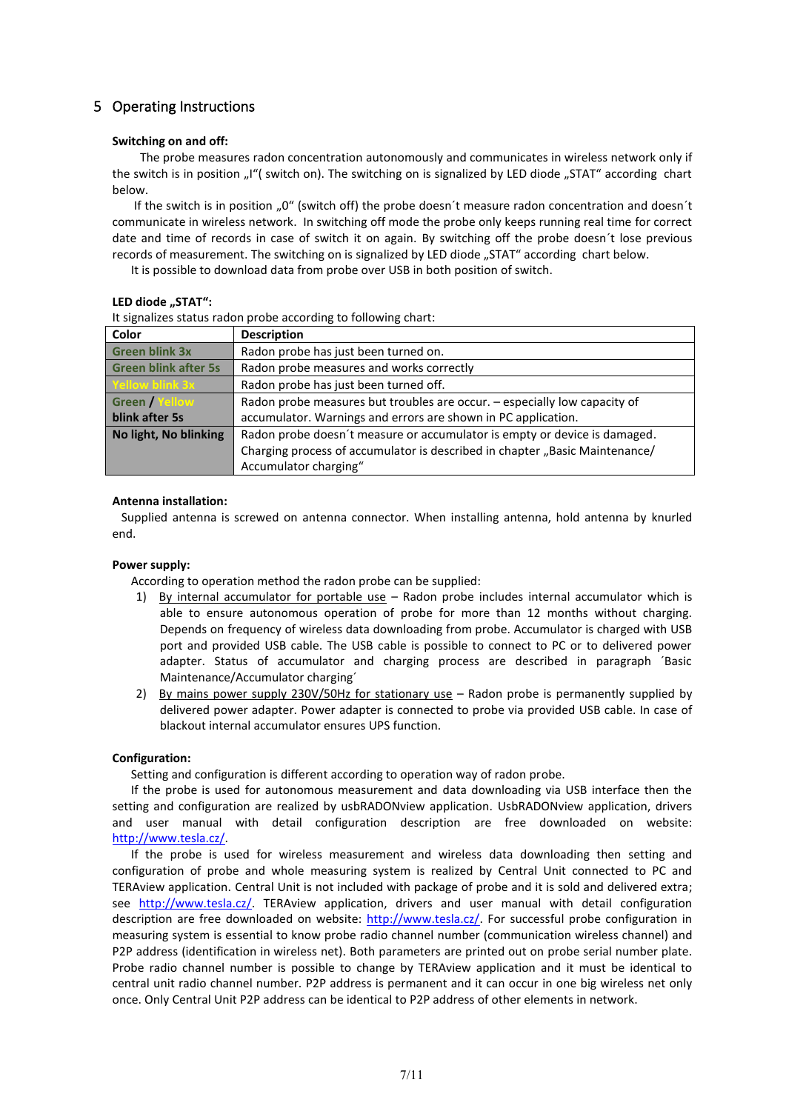# <span id="page-6-0"></span>5 Operating Instructions

#### **Switching on and off:**

 The probe measures radon concentration autonomously and communicates in wireless network only if the switch is in position "I"( switch on). The switching on is signalized by LED diode "STAT" according chart below.

If the switch is in position  $.0$ " (switch off) the probe doesn't measure radon concentration and doesn't communicate in wireless network. In switching off mode the probe only keeps running real time for correct date and time of records in case of switch it on again. By switching off the probe doesn´t lose previous records of measurement. The switching on is signalized by LED diode "STAT" according chart below.

It is possible to download data from probe over USB in both position of switch.

#### LED diode "STAT":

It signalizes status radon probe according to following chart:

| Color                       | <b>Description</b>                                                          |  |
|-----------------------------|-----------------------------------------------------------------------------|--|
| <b>Green blink 3x</b>       | Radon probe has just been turned on.                                        |  |
| <b>Green blink after 5s</b> | Radon probe measures and works correctly                                    |  |
| Yellow blink 3x             | Radon probe has just been turned off.                                       |  |
| Green / Yellow              | Radon probe measures but troubles are occur. - especially low capacity of   |  |
| blink after 5s              | accumulator. Warnings and errors are shown in PC application.               |  |
| No light, No blinking       | Radon probe doesn't measure or accumulator is empty or device is damaged.   |  |
|                             | Charging process of accumulator is described in chapter "Basic Maintenance/ |  |
|                             | Accumulator charging"                                                       |  |

#### **Antenna installation:**

 Supplied antenna is screwed on antenna connector. When installing antenna, hold antenna by knurled end.

#### **Power supply:**

According to operation method the radon probe can be supplied:

- 1) By internal accumulator for portable use Radon probe includes internal accumulator which is able to ensure autonomous operation of probe for more than 12 months without charging. Depends on frequency of wireless data downloading from probe. Accumulator is charged with USB port and provided USB cable. The USB cable is possible to connect to PC or to delivered power adapter. Status of accumulator and charging process are described in paragraph ´Basic Maintenance/Accumulator charging´
- 2) By mains power supply 230V/50Hz for stationary use Radon probe is permanently supplied by delivered power adapter. Power adapter is connected to probe via provided USB cable. In case of blackout internal accumulator ensures UPS function.

#### **Configuration:**

Setting and configuration is different according to operation way of radon probe.

If the probe is used for autonomous measurement and data downloading via USB interface then the setting and configuration are realized by usbRADONview application. UsbRADONview application, drivers and user manual with detail configuration description are free downloaded on website: [http://www.tesla.cz/.](http://www.tesla.cz/)

If the probe is used for wireless measurement and wireless data downloading then setting and configuration of probe and whole measuring system is realized by Central Unit connected to PC and TERAview application. Central Unit is not included with package of probe and it is sold and delivered extra; see [http://www.tesla.cz/.](http://www.tesla.cz/) TERAview application, drivers and user manual with detail configuration description are free downloaded on website: [http://www.tesla.cz/.](http://www.tesla.cz/) For successful probe configuration in measuring system is essential to know probe radio channel number (communication wireless channel) and P2P address (identification in wireless net). Both parameters are printed out on probe serial number plate. Probe radio channel number is possible to change by TERAview application and it must be identical to central unit radio channel number. P2P address is permanent and it can occur in one big wireless net only once. Only Central Unit P2P address can be identical to P2P address of other elements in network.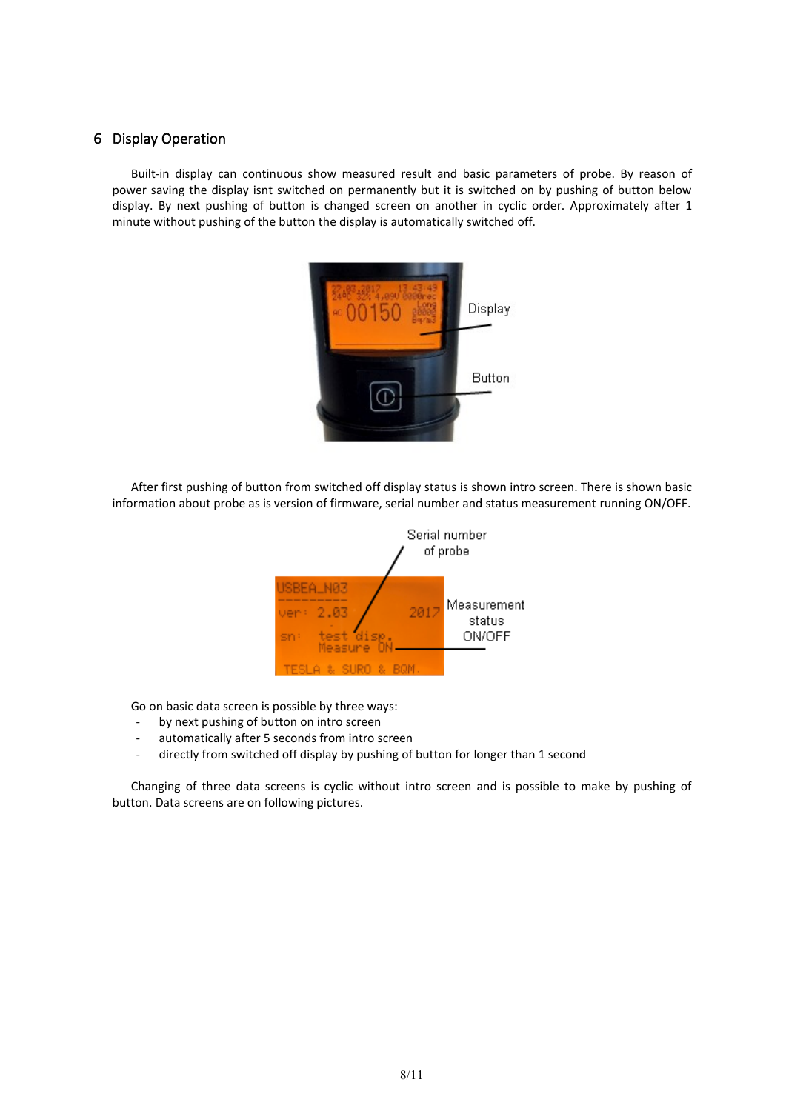# <span id="page-7-0"></span>6 Display Operation

Built-in display can continuous show measured result and basic parameters of probe. By reason of power saving the display isnt switched on permanently but it is switched on by pushing of button below display. By next pushing of button is changed screen on another in cyclic order. Approximately after 1 minute without pushing of the button the display is automatically switched off.



After first pushing of button from switched off display status is shown intro screen. There is shown basic information about probe as is version of firmware, serial number and status measurement running ON/OFF.



Go on basic data screen is possible by three ways:

- by next pushing of button on intro screen
- automatically after 5 seconds from intro screen
- directly from switched off display by pushing of button for longer than 1 second

Changing of three data screens is cyclic without intro screen and is possible to make by pushing of button. Data screens are on following pictures.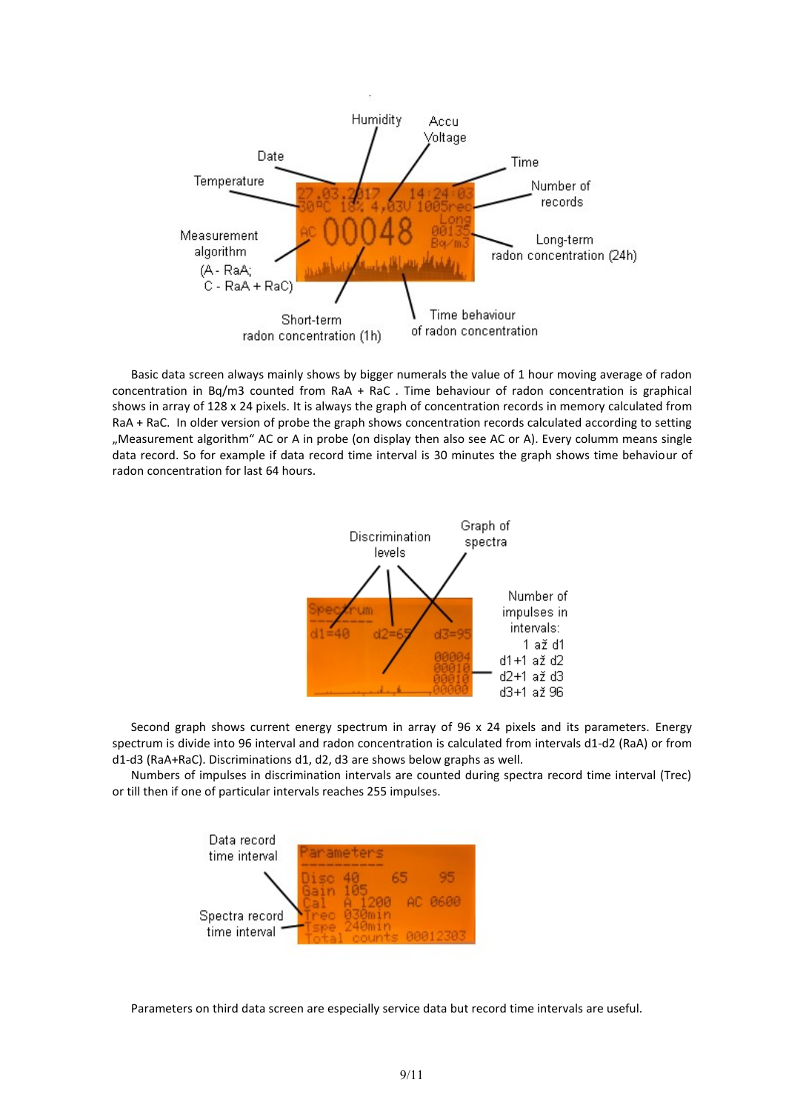

Basic data screen always mainly shows by bigger numerals the value of 1 hour moving average of radon concentration in Bq/m3 counted from RaA + RaC . Time behaviour of radon concentration is graphical shows in array of 128 x 24 pixels. It is always the graph of concentration records in memory calculated from RaA + RaC. In older version of probe the graph shows concentration records calculated according to setting "Measurement algorithm" AC or A in probe (on display then also see AC or A). Every columm means single data record. So for example if data record time interval is 30 minutes the graph shows time behaviour of radon concentration for last 64 hours.



Second graph shows current energy spectrum in array of 96 x 24 pixels and its parameters. Energy spectrum is divide into 96 interval and radon concentration is calculated from intervals d1-d2 (RaA) or from d1-d3 (RaA+RaC). Discriminations d1, d2, d3 are shows below graphs as well.

Numbers of impulses in discrimination intervals are counted during spectra record time interval (Trec) or till then if one of particular intervals reaches 255 impulses.



Parameters on third data screen are especially service data but record time intervals are useful.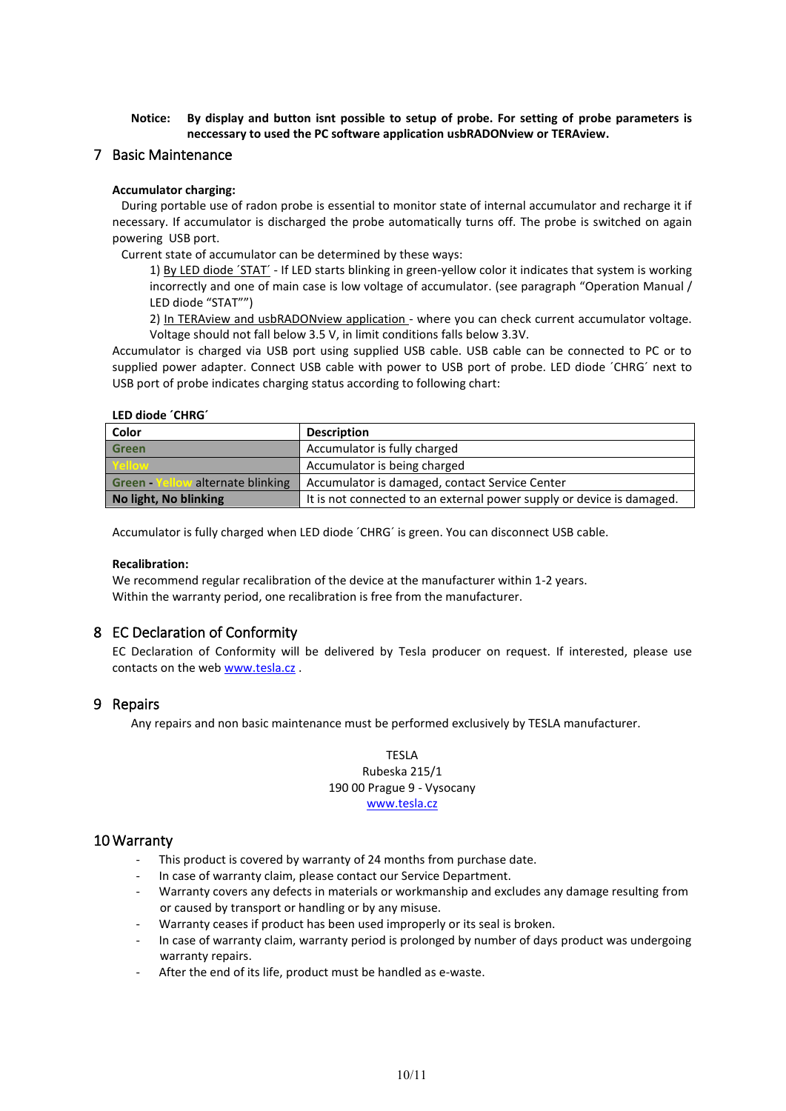#### **Notice: By display and button isnt possible to setup of probe. For setting of probe parameters is neccessary to used the PC software application usbRADONview or TERAview.**

#### <span id="page-9-0"></span>7 Basic Maintenance

#### **Accumulator charging:**

 During portable use of radon probe is essential to monitor state of internal accumulator and recharge it if necessary. If accumulator is discharged the probe automatically turns off. The probe is switched on again powering USB port.

Current state of accumulator can be determined by these ways:

1) By LED diode ´STAT´ - If LED starts blinking in green-yellow color it indicates that system is working incorrectly and one of main case is low voltage of accumulator. (see paragraph "Operation Manual / LED diode "STAT"")

2) In TERAview and usbRADONview application - where you can check current accumulator voltage. Voltage should not fall below 3.5 V, in limit conditions falls below 3.3V.

Accumulator is charged via USB port using supplied USB cable. USB cable can be connected to PC or to supplied power adapter. Connect USB cable with power to USB port of probe. LED diode ´CHRG´ next to USB port of probe indicates charging status according to following chart:

#### **LED diode ´CHRG´**

| Color                             | <b>Description</b>                                                    |
|-----------------------------------|-----------------------------------------------------------------------|
| <b>Green</b>                      | Accumulator is fully charged                                          |
| Yellow                            | Accumulator is being charged                                          |
| Green - Yellow alternate blinking | Accumulator is damaged, contact Service Center                        |
| No light, No blinking             | It is not connected to an external power supply or device is damaged. |

Accumulator is fully charged when LED diode ´CHRG´ is green. You can disconnect USB cable.

#### **Recalibration:**

We recommend regular recalibration of the device at the manufacturer within 1-2 years. Within the warranty period, one recalibration is free from the manufacturer.

## <span id="page-9-1"></span>8 EC Declaration of Conformity

EC Declaration of Conformity will be delivered by Tesla producer on request. If interested, please use contacts on the web [www.tesla.cz](http://www.tesla.cz/) .

## <span id="page-9-2"></span>9 Repairs

Any repairs and non basic maintenance must be performed exclusively by TESLA manufacturer.

#### TESLA Rubeska 215/1 190 00 Prague 9 - Vysocany [www.tesla.cz](http://www.tesla.cz/)

#### <span id="page-9-3"></span>10 Warranty

- This product is covered by warranty of 24 months from purchase date.
- In case of warranty claim, please contact our Service Department.
- Warranty covers any defects in materials or workmanship and excludes any damage resulting from or caused by transport or handling or by any misuse.
- Warranty ceases if product has been used improperly or its seal is broken.
- In case of warranty claim, warranty period is prolonged by number of days product was undergoing warranty repairs.
- After the end of its life, product must be handled as e-waste.